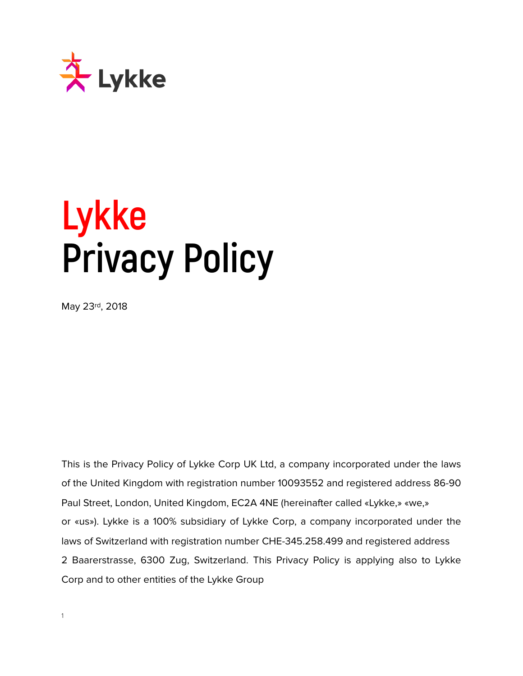

# **Lykke Privacy Policy**

May 23rd, 2018

This is the Privacy Policy of Lykke Corp UK Ltd, a company incorporated under the laws of the United Kingdom with registration number 10093552 and registered address 86-90 Paul Street, London, United Kingdom, EC2A 4NE (hereinafter called «Lykke,» «we,» or «us»). Lykke is a 100% subsidiary of Lykke Corp, a company incorporated under the laws of Switzerland with registration number CHE-345.258.499 and registered address 2 Baarerstrasse, 6300 Zug, Switzerland. This Privacy Policy is applying also to Lykke Corp and to other entities of the Lykke Group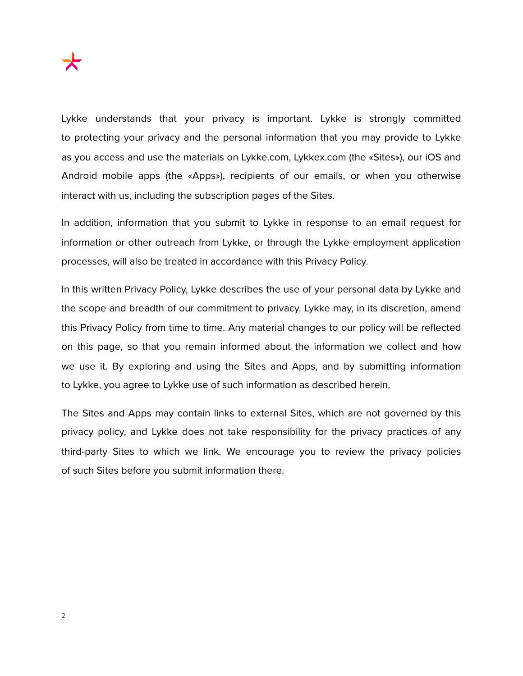Lykke understands that your privacy is important. Lykke is strongly committed to protecting your privacy and the personal information that you may provide to Lykke as you access and use the materials on Lykke.com, Lykkex.com (the «Sites»), our iOS and Android mobile apps (the «Apps»), recipients of our emails, or when you otherwise interact with us, including the subscription pages of the Sites.

In addition, information that you submit to Lykke in response to an email request for information or other outreach from Lykke, or through the Lykke employment application processes, will also be treated in accordance with this Privacy Policy.

In this written Privacy Policy, Lykke describes the use of your personal data by Lykke and the scope and breadth of our commitment to privacy. Lykke may, in its discretion, amend this Privacy Policy from time to time. Any material changes to our policy will be reflected on this page, so that you remain informed about the information we collect and how we use it. By exploring and using the Sites and Apps, and by submitting information to Lykke, you agree to Lykke use of such information as described herein.

The Sites and Apps may contain links to external Sites, which are not governed by this privacy policy, and Lykke does not take responsibility for the privacy practices of any third-party Sites to which we link. We encourage you to review the privacy policies of such Sites before you submit information there.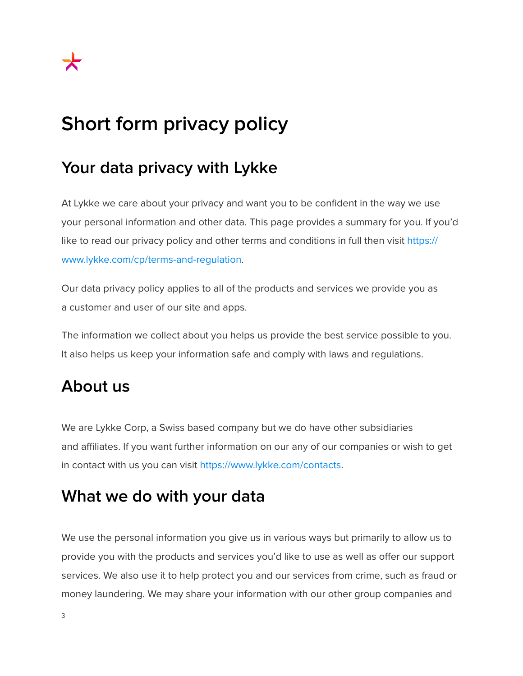# **Short form privacy policy**

# **Your data privacy with Lykke**

At Lykke we care about your privacy and want you to be confident in the way we use your personal information and other data. This page provides a summary for you. If you'd like to read our privacy policy and other terms and conditions in full then visit [https://](https://www.lykke.com/cp/terms-and-regulation) [www.lykke.com/cp/terms-and-regulation.](https://www.lykke.com/cp/terms-and-regulation)

Our data privacy policy applies to all of the products and services we provide you as a customer and user of our site and apps.

The information we collect about you helps us provide the best service possible to you. It also helps us keep your information safe and comply with laws and regulations.

#### **About us**

We are Lykke Corp, a Swiss based company but we do have other subsidiaries and affiliates. If you want further information on our any of our companies or wish to get in contact with us you can visit<https://www.lykke.com/contacts>.

#### **What we do with your data**

We use the personal information you give us in various ways but primarily to allow us to provide you with the products and services you'd like to use as well as offer our support services. We also use it to help protect you and our services from crime, such as fraud or money laundering. We may share your information with our other group companies and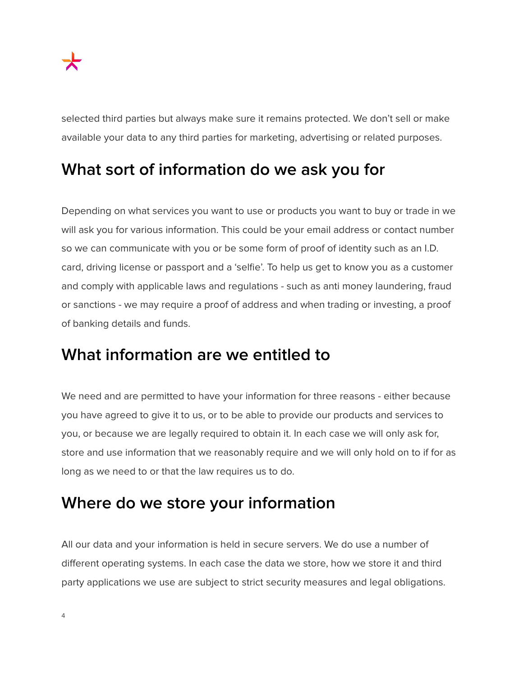selected third parties but always make sure it remains protected. We don't sell or make available your data to any third parties for marketing, advertising or related purposes.

# **What sort of information do we ask you for**

Depending on what services you want to use or products you want to buy or trade in we will ask you for various information. This could be your email address or contact number so we can communicate with you or be some form of proof of identity such as an I.D. card, driving license or passport and a 'selfie'. To help us get to know you as a customer and comply with applicable laws and regulations - such as anti money laundering, fraud or sanctions - we may require a proof of address and when trading or investing, a proof of banking details and funds.

#### **What information are we entitled to**

We need and are permitted to have your information for three reasons - either because you have agreed to give it to us, or to be able to provide our products and services to you, or because we are legally required to obtain it. In each case we will only ask for, store and use information that we reasonably require and we will only hold on to if for as long as we need to or that the law requires us to do.

#### **Where do we store your information**

All our data and your information is held in secure servers. We do use a number of different operating systems. In each case the data we store, how we store it and third party applications we use are subject to strict security measures and legal obligations.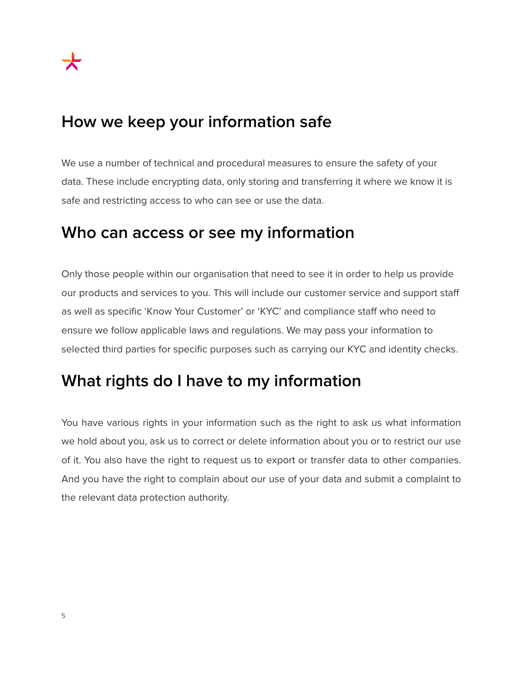#### **How we keep your information safe**

We use a number of technical and procedural measures to ensure the safety of your data. These include encrypting data, only storing and transferring it where we know it is safe and restricting access to who can see or use the data.

#### **Who can access or see my information**

Only those people within our organisation that need to see it in order to help us provide our products and services to you. This will include our customer service and support staff as well as specific 'Know Your Customer' or 'KYC' and compliance staff who need to ensure we follow applicable laws and regulations. We may pass your information to selected third parties for specific purposes such as carrying our KYC and identity checks.

# **What rights do I have to my information**

You have various rights in your information such as the right to ask us what information we hold about you, ask us to correct or delete information about you or to restrict our use of it. You also have the right to request us to export or transfer data to other companies. And you have the right to complain about our use of your data and submit a complaint to the relevant data protection authority.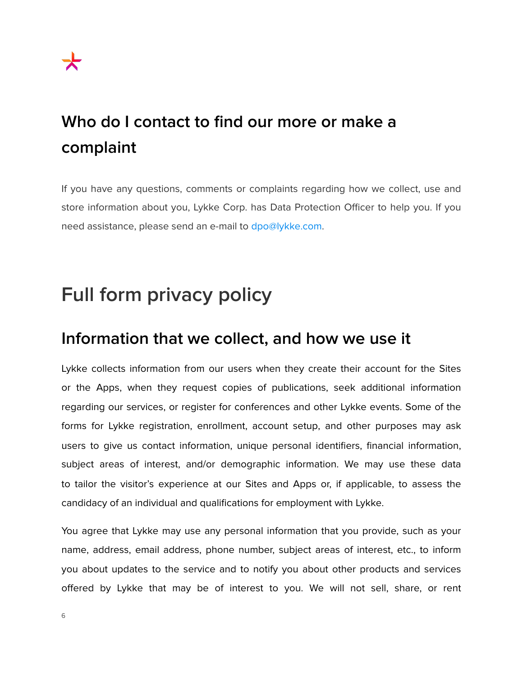# **Who do I contact to find our more or make a complaint**

If you have any questions, comments or complaints regarding how we collect, use and store information about you, Lykke Corp. has Data Protection Officer to help you. If you need assistance, please send an e-mail to [dpo@lykke.com.](mailto:dpo@lykke.com)

# **Full form privacy policy**

#### **Information that we collect, and how we use it**

Lykke collects information from our users when they create their account for the Sites or the Apps, when they request copies of publications, seek additional information regarding our services, or register for conferences and other Lykke events. Some of the forms for Lykke registration, enrollment, account setup, and other purposes may ask users to give us contact information, unique personal identifiers, financial information, subject areas of interest, and/or demographic information. We may use these data to tailor the visitor's experience at our Sites and Apps or, if applicable, to assess the candidacy of an individual and qualifications for employment with Lykke.

You agree that Lykke may use any personal information that you provide, such as your name, address, email address, phone number, subject areas of interest, etc., to inform you about updates to the service and to notify you about other products and services offered by Lykke that may be of interest to you. We will not sell, share, or rent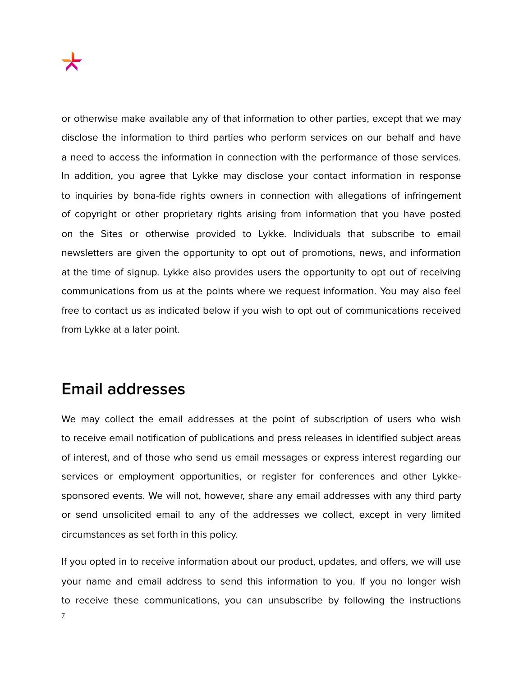or otherwise make available any of that information to other parties, except that we may disclose the information to third parties who perform services on our behalf and have a need to access the information in connection with the performance of those services. In addition, you agree that Lykke may disclose your contact information in response to inquiries by bona-fide rights owners in connection with allegations of infringement of copyright or other proprietary rights arising from information that you have posted on the Sites or otherwise provided to Lykke. Individuals that subscribe to email newsletters are given the opportunity to opt out of promotions, news, and information at the time of signup. Lykke also provides users the opportunity to opt out of receiving communications from us at the points where we request information. You may also feel free to contact us as indicated below if you wish to opt out of communications received from Lykke at a later point.

#### **Email addresses**

We may collect the email addresses at the point of subscription of users who wish to receive email notification of publications and press releases in identified subject areas of interest, and of those who send us email messages or express interest regarding our services or employment opportunities, or register for conferences and other Lykkesponsored events. We will not, however, share any email addresses with any third party or send unsolicited email to any of the addresses we collect, except in very limited circumstances as set forth in this policy.

If you opted in to receive information about our product, updates, and offers, we will use your name and email address to send this information to you. If you no longer wish to receive these communications, you can unsubscribe by following the instructions 7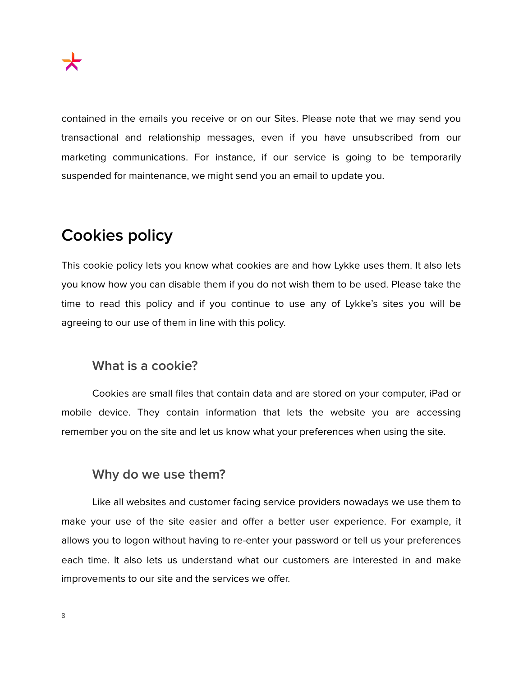contained in the emails you receive or on our Sites. Please note that we may send you transactional and relationship messages, even if you have unsubscribed from our marketing communications. For instance, if our service is going to be temporarily suspended for maintenance, we might send you an email to update you.

# **Cookies policy**

This cookie policy lets you know what cookies are and how Lykke uses them. It also lets you know how you can disable them if you do not wish them to be used. Please take the time to read this policy and if you continue to use any of Lykke's sites you will be agreeing to our use of them in line with this policy.

#### **What is a cookie?**

 Cookies are small files that contain data and are stored on your computer, iPad or mobile device. They contain information that lets the website you are accessing remember you on the site and let us know what your preferences when using the site.

#### **Why do we use them?**

 Like all websites and customer facing service providers nowadays we use them to make your use of the site easier and offer a better user experience. For example, it allows you to logon without having to re-enter your password or tell us your preferences each time. It also lets us understand what our customers are interested in and make improvements to our site and the services we offer.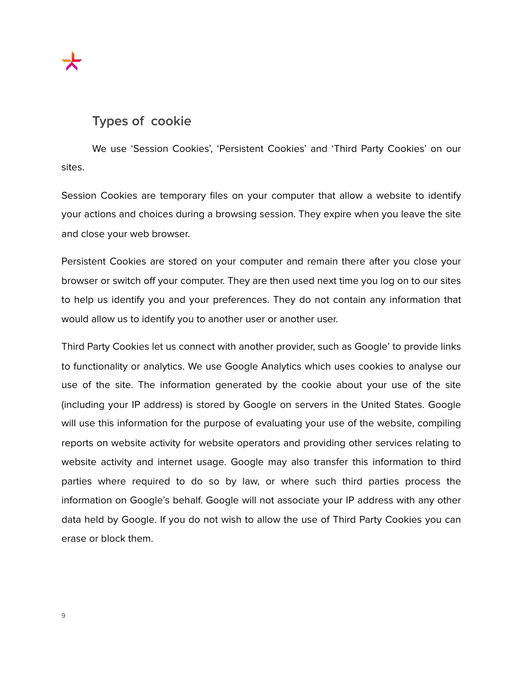#### **Types of cookie**

 We use 'Session Cookies', 'Persistent Cookies' and 'Third Party Cookies' on our sites.

Session Cookies are temporary files on your computer that allow a website to identify your actions and choices during a browsing session. They expire when you leave the site and close your web browser.

Persistent Cookies are stored on your computer and remain there after you close your browser or switch off your computer. They are then used next time you log on to our sites to help us identify you and your preferences. They do not contain any information that would allow us to identify you to another user or another user.

Third Party Cookies let us connect with another provider, such as Google' to provide links to functionality or analytics. We use Google Analytics which uses cookies to analyse our use of the site. The information generated by the cookie about your use of the site (including your IP address) is stored by Google on servers in the United States. Google will use this information for the purpose of evaluating your use of the website, compiling reports on website activity for website operators and providing other services relating to website activity and internet usage. Google may also transfer this information to third parties where required to do so by law, or where such third parties process the information on Google's behalf. Google will not associate your IP address with any other data held by Google. If you do not wish to allow the use of Third Party Cookies you can erase or block them.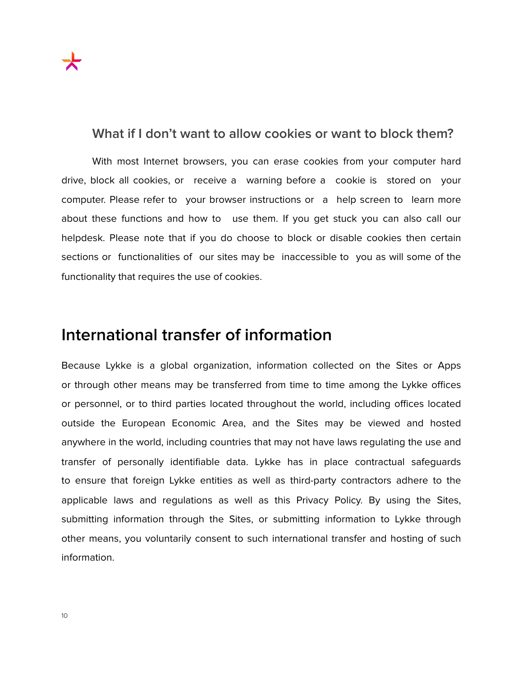#### **What if I don't want to allow cookies or want to block them?**

 With most Internet browsers, you can erase cookies from your computer hard drive, block all cookies, or receive a warning before a cookie is stored on your computer. Please refer to your browser instructions or a help screen to learn more about these functions and how to use them. If you get stuck you can also call our helpdesk. Please note that if you do choose to block or disable cookies then certain sections or functionalities of our sites may be inaccessible to you as will some of the functionality that requires the use of cookies.

#### **International transfer of information**

Because Lykke is a global organization, information collected on the Sites or Apps or through other means may be transferred from time to time among the Lykke offices or personnel, or to third parties located throughout the world, including offices located outside the European Economic Area, and the Sites may be viewed and hosted anywhere in the world, including countries that may not have laws regulating the use and transfer of personally identifiable data. Lykke has in place contractual safeguards to ensure that foreign Lykke entities as well as third-party contractors adhere to the applicable laws and regulations as well as this Privacy Policy. By using the Sites, submitting information through the Sites, or submitting information to Lykke through other means, you voluntarily consent to such international transfer and hosting of such information.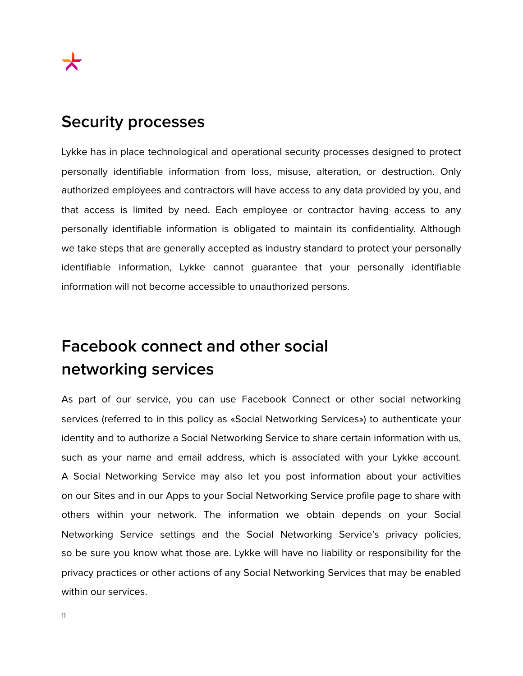#### **Security processes**

Lykke has in place technological and operational security processes designed to protect personally identifiable information from loss, misuse, alteration, or destruction. Only authorized employees and contractors will have access to any data provided by you, and that access is limited by need. Each employee or contractor having access to any personally identifiable information is obligated to maintain its confidentiality. Although we take steps that are generally accepted as industry standard to protect your personally identifiable information, Lykke cannot guarantee that your personally identifiable information will not become accessible to unauthorized persons.

# **Facebook connect and other social networking services**

As part of our service, you can use Facebook Connect or other social networking services (referred to in this policy as «Social Networking Services») to authenticate your identity and to authorize a Social Networking Service to share certain information with us, such as your name and email address, which is associated with your Lykke account. A Social Networking Service may also let you post information about your activities on our Sites and in our Apps to your Social Networking Service profile page to share with others within your network. The information we obtain depends on your Social Networking Service settings and the Social Networking Service's privacy policies, so be sure you know what those are. Lykke will have no liability or responsibility for the privacy practices or other actions of any Social Networking Services that may be enabled within our services.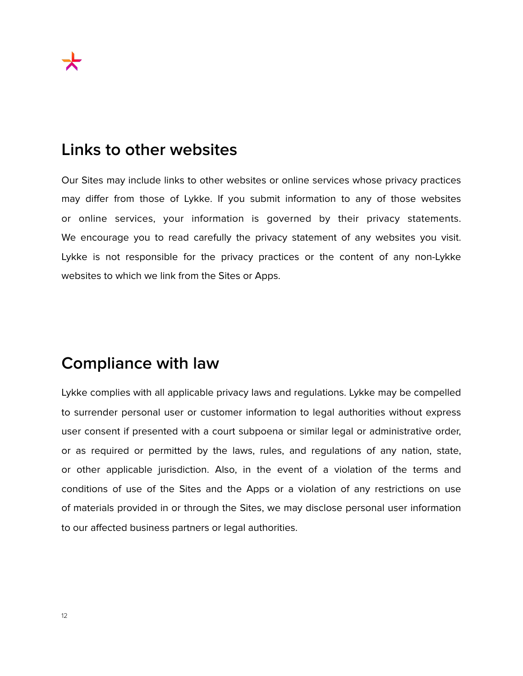#### **Links to other websites**

Our Sites may include links to other websites or online services whose privacy practices may differ from those of Lykke. If you submit information to any of those websites or online services, your information is governed by their privacy statements. We encourage you to read carefully the privacy statement of any websites you visit. Lykke is not responsible for the privacy practices or the content of any non-Lykke websites to which we link from the Sites or Apps.

#### **Compliance with law**

Lykke complies with all applicable privacy laws and regulations. Lykke may be compelled to surrender personal user or customer information to legal authorities without express user consent if presented with a court subpoena or similar legal or administrative order, or as required or permitted by the laws, rules, and regulations of any nation, state, or other applicable jurisdiction. Also, in the event of a violation of the terms and conditions of use of the Sites and the Apps or a violation of any restrictions on use of materials provided in or through the Sites, we may disclose personal user information to our affected business partners or legal authorities.